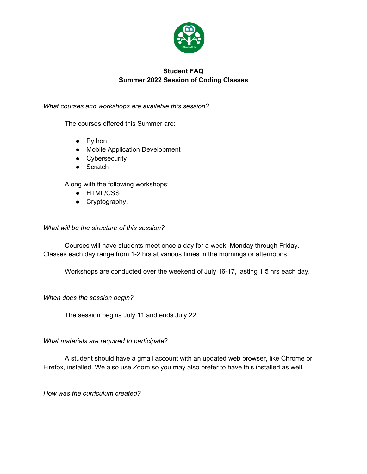

# **Student FAQ Summer 2022 Session of Coding Classes**

*What courses and workshops are available this session?* 

The courses offered this Summer are:

- Python
- Mobile Application Development
- Cybersecurity
- Scratch

Along with the following workshops:

- HTML/CSS
- Cryptography.

#### *What will be the structure of this session?*

Courses will have students meet once a day for a week, Monday through Friday. Classes each day range from 1-2 hrs at various times in the mornings or afternoons.

Workshops are conducted over the weekend of July 16-17, lasting 1.5 hrs each day.

*When does the session begin?*

The session begins July 11 and ends July 22.

*What materials are required to participate*?

A student should have a gmail account with an updated web browser, like Chrome or Firefox, installed. We also use Zoom so you may also prefer to have this installed as well.

*How was the curriculum created?*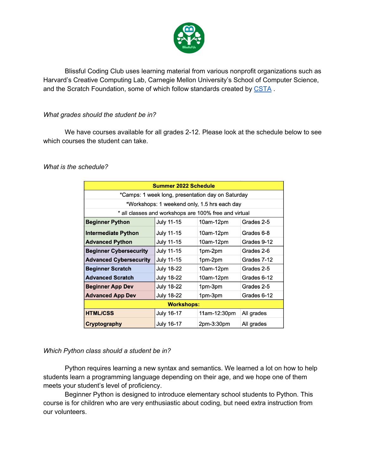

Blissful Coding Club uses learning material from various nonprofit organizations such as Harvard's Creative Computing Lab, Carnegie Mellon University's School of Computer Science, and the Scratch Foundation, some of which follow standards created by CSTA.

### *What grades should the student be in?*

We have courses available for all grades 2-12. Please look at the schedule below to see which courses the student can take.

*What is the schedule?* 

| <b>Summer 2022 Schedule</b>                           |                   |              |             |
|-------------------------------------------------------|-------------------|--------------|-------------|
| *Camps: 1 week long, presentation day on Saturday     |                   |              |             |
| *Workshops: 1 weekend only, 1.5 hrs each day          |                   |              |             |
| * all classes and workshops are 100% free and virtual |                   |              |             |
| <b>Beginner Python</b>                                | July 11-15        | 10am-12pm    | Grades 2-5  |
| <b>Intermediate Python</b>                            | July 11-15        | 10am-12pm    | Grades 6-8  |
| <b>Advanced Python</b>                                | <b>July 11-15</b> | 10am-12pm    | Grades 9-12 |
| <b>Beginner Cybersecurity</b>                         | July 11-15        | 1pm-2pm      | Grades 2-6  |
| <b>Advanced Cybersecurity</b>                         | <b>July 11-15</b> | 1pm-2pm      | Grades 7-12 |
| <b>Beginner Scratch</b>                               | <b>July 18-22</b> | 10am-12pm    | Grades 2-5  |
| <b>Advanced Scratch</b>                               | <b>July 18-22</b> | 10am-12pm    | Grades 6-12 |
| <b>Beginner App Dev</b>                               | July 18-22        | 1pm-3pm      | Grades 2-5  |
| <b>Advanced App Dev</b>                               | <b>July 18-22</b> | 1pm-3pm      | Grades 6-12 |
| <b>Workshops:</b>                                     |                   |              |             |
| <b>HTML/CSS</b>                                       | July 16-17        | 11am-12:30pm | All grades  |
| Cryptography                                          | <b>July 16-17</b> | 2pm-3:30pm   | All grades  |

#### *Which Python class should a student be in?*

Python requires learning a new syntax and semantics. We learned a lot on how to help students learn a programming language depending on their age, and we hope one of them meets your student's level of proficiency.

Beginner Python is designed to introduce elementary school students to Python. This course is for children who are very enthusiastic about coding, but need extra instruction from our volunteers.